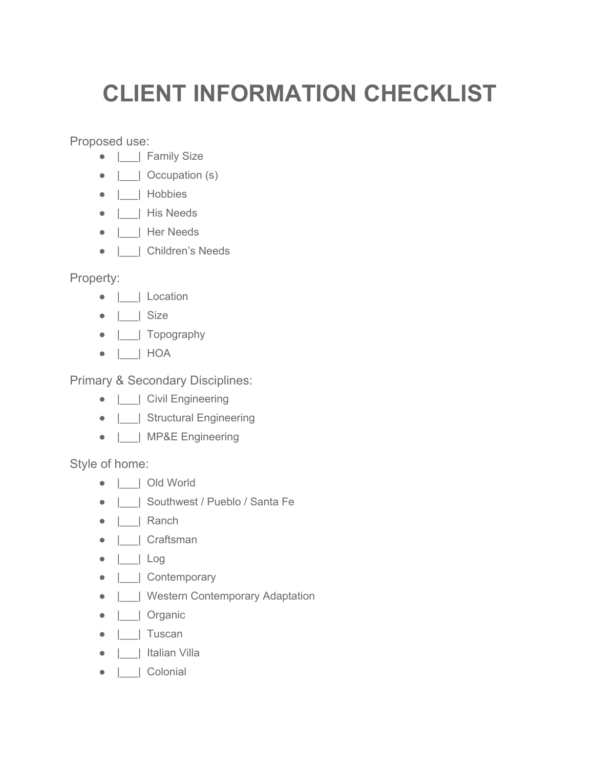## **CLIENT INFORMATION CHECKLIST**

Proposed use:

- |\_\_\_| Family Size
- |\_\_\_| Occupation (s)
- |\_\_\_| Hobbies
- |\_\_\_| His Needs
- |\_\_\_| Her Needs
- |\_\_\_| Children's Needs

Property:

- |\_\_\_| Location
- $\bullet$  | | Size
- |\_\_\_| Topography
- |\_\_\_| HOA

Primary & Secondary Disciplines:

- |\_\_\_| Civil Engineering
- | Structural Engineering
- |\_\_\_| MP&E Engineering

Style of home:

- |\_\_\_| Old World
- | Southwest / Pueblo / Santa Fe
- |\_\_\_| Ranch
- |\_\_\_| Craftsman
- |\_\_\_| Log
- |\_\_\_| Contemporary
- |\_\_\_| Western Contemporary Adaptation
- |\_\_\_| Organic
- |\_\_\_| Tuscan
- |\_\_\_| Italian Villa
- |\_\_\_| Colonial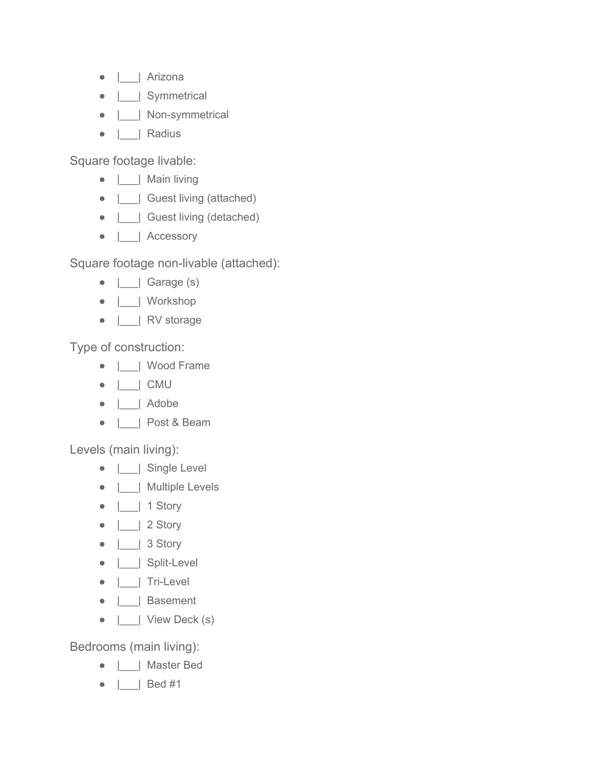- |\_\_\_| Arizona
- |\_\_\_| Symmetrical
- | | Non-symmetrical
- |\_\_\_| Radius

Square footage livable:

- |\_\_\_| Main living
- | | Guest living (attached)
- | | Guest living (detached)
- |\_\_\_| Accessory

Square footage non-livable (attached):

- $\bullet$   $\Box$  Garage (s)
- |\_\_\_| Workshop
- |\_\_\_| RV storage

Type of construction:

- |\_\_\_| Wood Frame
- |\_\_\_| CMU
- |\_\_\_| Adobe
- |\_\_\_| Post & Beam

Levels (main living):

- |\_\_\_| Single Level
- |\_\_\_| Multiple Levels
- $\bullet$   $\Box$  1 Story
- $\bullet$  | | 2 Story
- $\bullet$  | | 3 Story
- | Split-Level
- $\bullet$  | | Tri-Level
- |\_\_\_| Basement
- $\bullet$  | | View Deck (s)

Bedrooms (main living):

- |\_\_\_| Master Bed
- |\_\_\_| Bed #1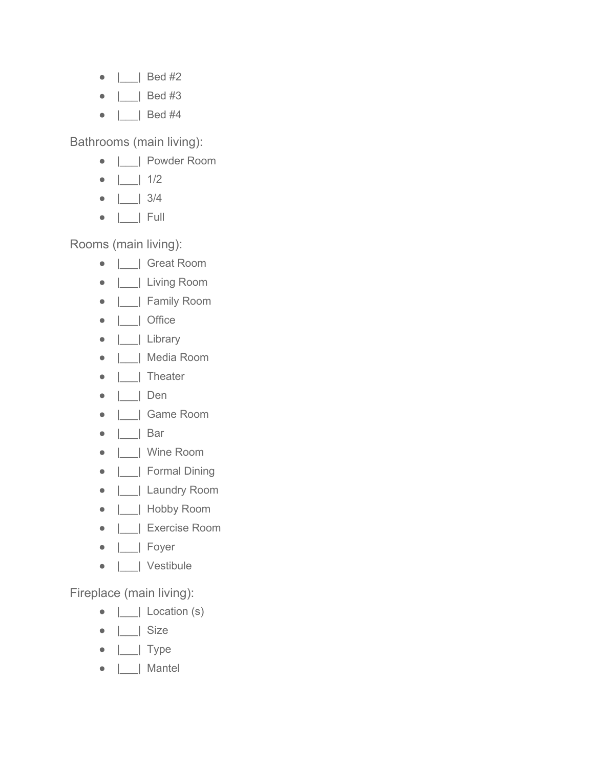- $\bullet$  | | Bed #2
- |\_\_\_| Bed #3
- | Bed #4

Bathrooms (main living):

- |\_\_\_| Powder Room
- |\_\_\_| 1/2
- |\_\_\_| 3/4
- |\_\_\_| Full

Rooms (main living):

- |\_\_\_| Great Room
- |\_\_\_| Living Room
- |\_\_\_| Family Room
- |\_\_\_| Office
- |\_\_\_| Library
- |\_\_\_| Media Room
- |\_\_\_| Theater
- |\_\_\_| Den
- |\_\_\_| Game Room
- |\_\_\_| Bar
- |\_\_\_| Wine Room
- |\_\_\_| Formal Dining
- |\_\_\_| Laundry Room
- |\_\_\_| Hobby Room
- |\_\_\_| Exercise Room
- |\_\_\_| Foyer
- |\_\_\_| Vestibule

Fireplace (main living):

- $\bullet$   $\Box$  Location (s)
- $\bullet$  | | Size
- $\bullet$   $\Box$  Type
- |\_\_\_| Mantel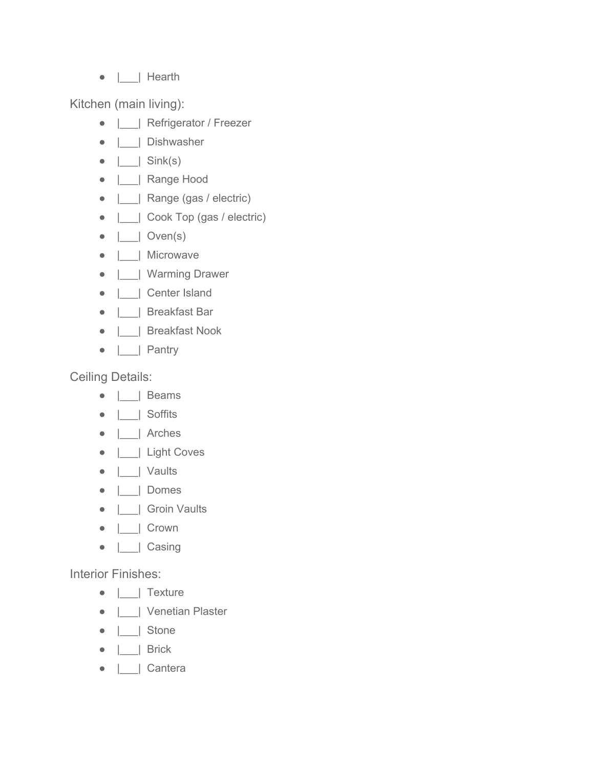● |\_\_\_| Hearth

Kitchen (main living):

- |\_\_\_| Refrigerator / Freezer
- |\_\_\_| Dishwasher
- $\bullet$  | | Sink(s)
- |\_\_\_| Range Hood
- |\_\_\_| Range (gas / electric)
- |\_\_\_| Cook Top (gas / electric)
- $\bullet$  | | Oven(s)
- |\_\_\_| Microwave
- |\_\_\_| Warming Drawer
- |\_\_\_| Center Island
- |\_\_\_| Breakfast Bar
- |\_\_\_| Breakfast Nook
- |\_\_\_| Pantry

Ceiling Details:

- |\_\_\_| Beams
- |\_\_\_| Soffits
- |\_\_\_| Arches
- |\_\_\_| Light Coves
- |\_\_\_| Vaults
- |\_\_\_| Domes
- |\_\_\_| Groin Vaults
- |\_\_\_| Crown
- |\_\_\_| Casing

Interior Finishes:

- |\_\_\_| Texture
- |\_\_\_| Venetian Plaster
- |\_\_\_| Stone
- |\_\_\_| Brick
- |\_\_\_| Cantera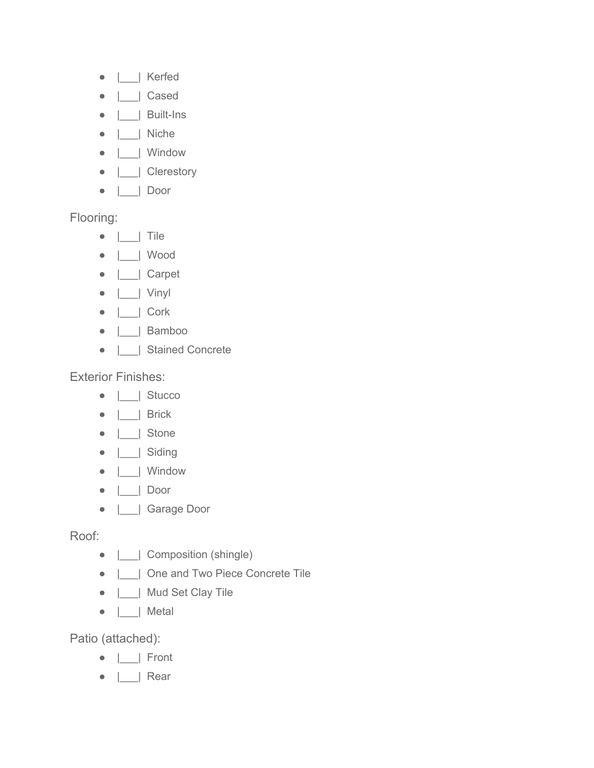- |\_\_\_| Kerfed
- |\_\_\_| Cased
- | | Built-Ins
- |\_\_\_| Niche
- |\_\_\_| Window
- |\_\_\_| Clerestory
- |\_\_\_| Door

Flooring:

- |\_\_\_| Tile
- |\_\_\_| Wood
- |\_\_\_| Carpet
- |\_\_\_| Vinyl
- |\_\_\_| Cork
- |\_\_\_| Bamboo
- |\_\_\_| Stained Concrete

Exterior Finishes:

- |\_\_\_| Stucco
- |\_\_\_| Brick
- |\_\_\_| Stone
- |\_\_\_| Siding
- |\_\_\_| Window
- |\_\_\_| Door
- |\_\_\_| Garage Door

Roof:

- | | Composition (shingle)
- |\_\_\_| One and Two Piece Concrete Tile
- |\_\_\_| Mud Set Clay Tile
- |\_\_\_| Metal

Patio (attached):

- |\_\_\_| Front
- |\_\_\_| Rear